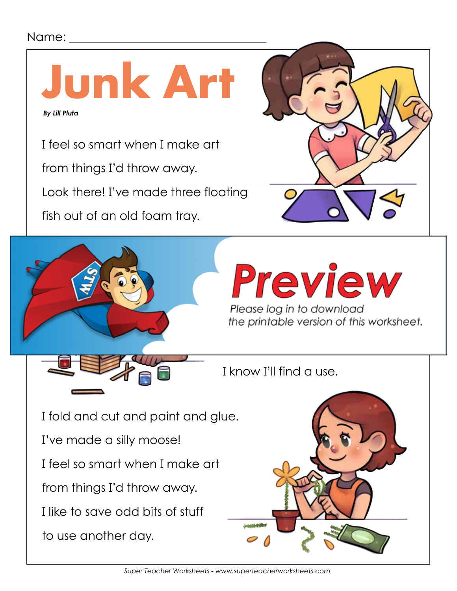## Name:

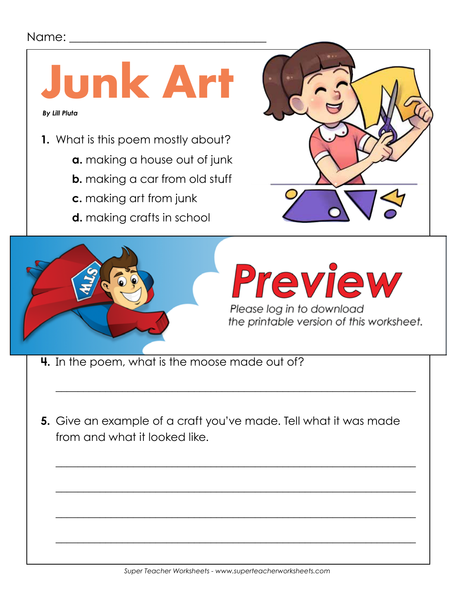## Name:



- **4.** In the poem, what is the moose made out of?
- **5.** Give an example of a craft you've made. Tell what it was made from and what it looked like.

 $\overline{\phantom{a}}$  , and the contract of the contract of the contract of the contract of the contract of the contract of the contract of the contract of the contract of the contract of the contract of the contract of the contrac

 $\overline{\phantom{a}}$  , and the contract of the contract of the contract of the contract of the contract of the contract of the contract of the contract of the contract of the contract of the contract of the contract of the contrac

 $\overline{\phantom{a}}$  , and the contract of the contract of the contract of the contract of the contract of the contract of the contract of the contract of the contract of the contract of the contract of the contract of the contrac

 $\overline{\phantom{a}}$  , and the contract of the contract of the contract of the contract of the contract of the contract of the contract of the contract of the contract of the contract of the contract of the contract of the contrac

 $\overline{\phantom{a}}$  , and the contract of the contract of the contract of the contract of the contract of the contract of the contract of the contract of the contract of the contract of the contract of the contract of the contrac